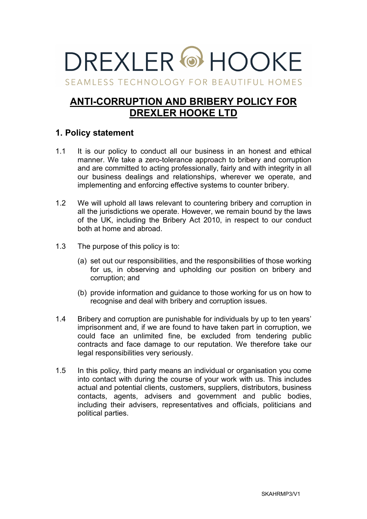# DREXI FR @ HOOKE

SEAMLESS TECHNOLOGY FOR BEAUTIFUL HOMES

# **ANTI-CORRUPTION AND BRIBERY POLICY FOR DREXLER HOOKE LTD**

## **1. Policy statement**

- 1.1 It is our policy to conduct all our business in an honest and ethical manner. We take a zero-tolerance approach to bribery and corruption and are committed to acting professionally, fairly and with integrity in all our business dealings and relationships, wherever we operate, and implementing and enforcing effective systems to counter bribery.
- 1.2 We will uphold all laws relevant to countering bribery and corruption in all the jurisdictions we operate. However, we remain bound by the laws of the UK, including the Bribery Act 2010, in respect to our conduct both at home and abroad.
- 1.3 The purpose of this policy is to:
	- (a) set out our responsibilities, and the responsibilities of those working for us, in observing and upholding our position on bribery and corruption; and
	- (b) provide information and guidance to those working for us on how to recognise and deal with bribery and corruption issues.
- 1.4 Bribery and corruption are punishable for individuals by up to ten years' imprisonment and, if we are found to have taken part in corruption, we could face an unlimited fine, be excluded from tendering public contracts and face damage to our reputation. We therefore take our legal responsibilities very seriously.
- 1.5 In this policy, third party means an individual or organisation you come into contact with during the course of your work with us. This includes actual and potential clients, customers, suppliers, distributors, business contacts, agents, advisers and government and public bodies, including their advisers, representatives and officials, politicians and political parties.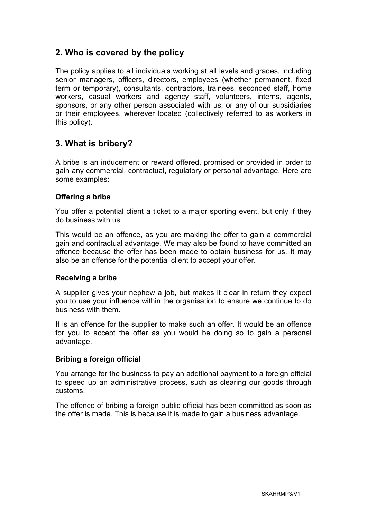## **2. Who is covered by the policy**

The policy applies to all individuals working at all levels and grades, including senior managers, officers, directors, employees (whether permanent, fixed term or temporary), consultants, contractors, trainees, seconded staff, home workers, casual workers and agency staff, volunteers, interns, agents, sponsors, or any other person associated with us, or any of our subsidiaries or their employees, wherever located (collectively referred to as workers in this policy).

## **3. What is bribery?**

A bribe is an inducement or reward offered, promised or provided in order to gain any commercial, contractual, regulatory or personal advantage. Here are some examples:

#### **Offering a bribe**

You offer a potential client a ticket to a major sporting event, but only if they do business with us.

This would be an offence, as you are making the offer to gain a commercial gain and contractual advantage. We may also be found to have committed an offence because the offer has been made to obtain business for us. It may also be an offence for the potential client to accept your offer.

#### **Receiving a bribe**

A supplier gives your nephew a job, but makes it clear in return they expect you to use your influence within the organisation to ensure we continue to do business with them.

It is an offence for the supplier to make such an offer. It would be an offence for you to accept the offer as you would be doing so to gain a personal advantage.

#### **Bribing a foreign official**

You arrange for the business to pay an additional payment to a foreign official to speed up an administrative process, such as clearing our goods through customs.

The offence of bribing a foreign public official has been committed as soon as the offer is made. This is because it is made to gain a business advantage.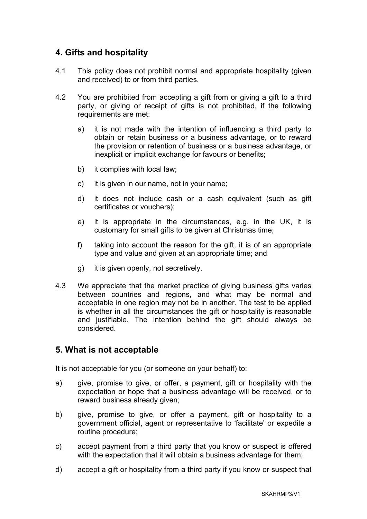#### **4. Gifts and hospitality**

- 4.1 This policy does not prohibit normal and appropriate hospitality (given and received) to or from third parties.
- 4.2 You are prohibited from accepting a gift from or giving a gift to a third party, or giving or receipt of gifts is not prohibited, if the following requirements are met:
	- a) it is not made with the intention of influencing a third party to obtain or retain business or a business advantage, or to reward the provision or retention of business or a business advantage, or inexplicit or implicit exchange for favours or benefits;
	- b) it complies with local law;
	- c) it is given in our name, not in your name;
	- d) it does not include cash or a cash equivalent (such as gift certificates or vouchers);
	- e) it is appropriate in the circumstances, e.g. in the UK, it is customary for small gifts to be given at Christmas time;
	- f) taking into account the reason for the gift, it is of an appropriate type and value and given at an appropriate time; and
	- g) it is given openly, not secretively.
- 4.3 We appreciate that the market practice of giving business gifts varies between countries and regions, and what may be normal and acceptable in one region may not be in another. The test to be applied is whether in all the circumstances the gift or hospitality is reasonable and justifiable. The intention behind the gift should always be considered.

#### **5. What is not acceptable**

It is not acceptable for you (or someone on your behalf) to:

- a) give, promise to give, or offer, a payment, gift or hospitality with the expectation or hope that a business advantage will be received, or to reward business already given;
- b) give, promise to give, or offer a payment, gift or hospitality to a government official, agent or representative to 'facilitate' or expedite a routine procedure;
- c) accept payment from a third party that you know or suspect is offered with the expectation that it will obtain a business advantage for them;
- d) accept a gift or hospitality from a third party if you know or suspect that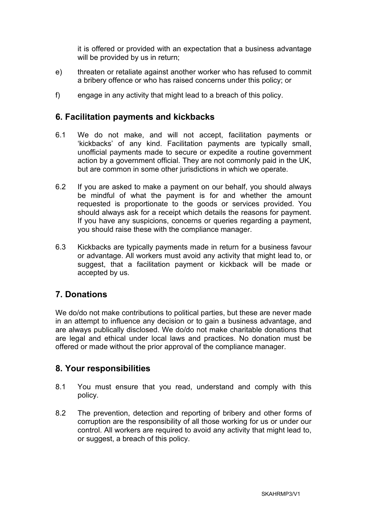it is offered or provided with an expectation that a business advantage will be provided by us in return;

- e) threaten or retaliate against another worker who has refused to commit a bribery offence or who has raised concerns under this policy; or
- f) engage in any activity that might lead to a breach of this policy.

#### **6. Facilitation payments and kickbacks**

- 6.1 We do not make, and will not accept, facilitation payments or 'kickbacks' of any kind. Facilitation payments are typically small, unofficial payments made to secure or expedite a routine government action by a government official. They are not commonly paid in the UK, but are common in some other jurisdictions in which we operate.
- 6.2 If you are asked to make a payment on our behalf, you should always be mindful of what the payment is for and whether the amount requested is proportionate to the goods or services provided. You should always ask for a receipt which details the reasons for payment. If you have any suspicions, concerns or queries regarding a payment, you should raise these with the compliance manager.
- 6.3 Kickbacks are typically payments made in return for a business favour or advantage. All workers must avoid any activity that might lead to, or suggest, that a facilitation payment or kickback will be made or accepted by us.

## **7. Donations**

We do/do not make contributions to political parties, but these are never made in an attempt to influence any decision or to gain a business advantage, and are always publically disclosed. We do/do not make charitable donations that are legal and ethical under local laws and practices. No donation must be offered or made without the prior approval of the compliance manager.

## **8. Your responsibilities**

- 8.1 You must ensure that you read, understand and comply with this policy.
- 8.2 The prevention, detection and reporting of bribery and other forms of corruption are the responsibility of all those working for us or under our control. All workers are required to avoid any activity that might lead to, or suggest, a breach of this policy.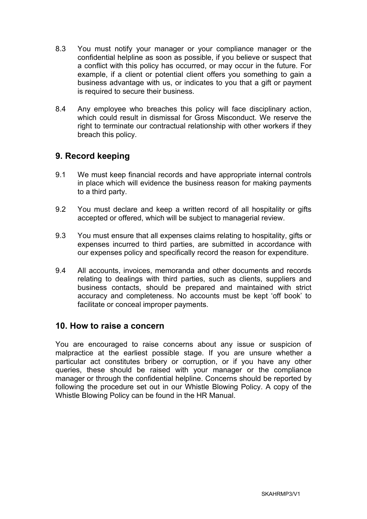- 8.3 You must notify your manager or your compliance manager or the confidential helpline as soon as possible, if you believe or suspect that a conflict with this policy has occurred, or may occur in the future. For example, if a client or potential client offers you something to gain a business advantage with us, or indicates to you that a gift or payment is required to secure their business.
- 8.4 Any employee who breaches this policy will face disciplinary action, which could result in dismissal for Gross Misconduct. We reserve the right to terminate our contractual relationship with other workers if they breach this policy.

#### **9. Record keeping**

- 9.1 We must keep financial records and have appropriate internal controls in place which will evidence the business reason for making payments to a third party.
- 9.2 You must declare and keep a written record of all hospitality or gifts accepted or offered, which will be subject to managerial review.
- 9.3 You must ensure that all expenses claims relating to hospitality, gifts or expenses incurred to third parties, are submitted in accordance with our expenses policy and specifically record the reason for expenditure.
- 9.4 All accounts, invoices, memoranda and other documents and records relating to dealings with third parties, such as clients, suppliers and business contacts, should be prepared and maintained with strict accuracy and completeness. No accounts must be kept 'off book' to facilitate or conceal improper payments.

#### **10. How to raise a concern**

You are encouraged to raise concerns about any issue or suspicion of malpractice at the earliest possible stage. If you are unsure whether a particular act constitutes bribery or corruption, or if you have any other queries, these should be raised with your manager or the compliance manager or through the confidential helpline. Concerns should be reported by following the procedure set out in our Whistle Blowing Policy. A copy of the Whistle Blowing Policy can be found in the HR Manual.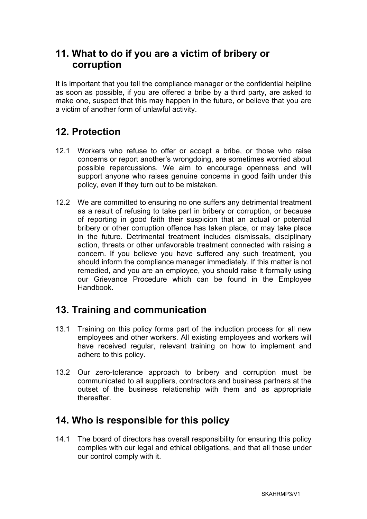# **11. What to do if you are a victim of bribery or corruption**

It is important that you tell the compliance manager or the confidential helpline as soon as possible, if you are offered a bribe by a third party, are asked to make one, suspect that this may happen in the future, or believe that you are a victim of another form of unlawful activity.

# **12. Protection**

- 12.1 Workers who refuse to offer or accept a bribe, or those who raise concerns or report another's wrongdoing, are sometimes worried about possible repercussions. We aim to encourage openness and will support anyone who raises genuine concerns in good faith under this policy, even if they turn out to be mistaken.
- 12.2 We are committed to ensuring no one suffers any detrimental treatment as a result of refusing to take part in bribery or corruption, or because of reporting in good faith their suspicion that an actual or potential bribery or other corruption offence has taken place, or may take place in the future. Detrimental treatment includes dismissals, disciplinary action, threats or other unfavorable treatment connected with raising a concern. If you believe you have suffered any such treatment, you should inform the compliance manager immediately. If this matter is not remedied, and you are an employee, you should raise it formally using our Grievance Procedure which can be found in the Employee Handbook.

# **13. Training and communication**

- 13.1 Training on this policy forms part of the induction process for all new employees and other workers. All existing employees and workers will have received regular, relevant training on how to implement and adhere to this policy.
- 13.2 Our zero-tolerance approach to bribery and corruption must be communicated to all suppliers, contractors and business partners at the outset of the business relationship with them and as appropriate thereafter.

# **14. Who is responsible for this policy**

14.1 The board of directors has overall responsibility for ensuring this policy complies with our legal and ethical obligations, and that all those under our control comply with it.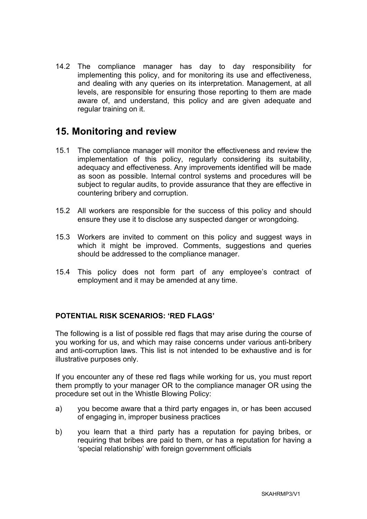14.2 The compliance manager has day to day responsibility for implementing this policy, and for monitoring its use and effectiveness, and dealing with any queries on its interpretation. Management, at all levels, are responsible for ensuring those reporting to them are made aware of, and understand, this policy and are given adequate and regular training on it.

## **15. Monitoring and review**

- 15.1 The compliance manager will monitor the effectiveness and review the implementation of this policy, regularly considering its suitability, adequacy and effectiveness. Any improvements identified will be made as soon as possible. Internal control systems and procedures will be subject to regular audits, to provide assurance that they are effective in countering bribery and corruption.
- 15.2 All workers are responsible for the success of this policy and should ensure they use it to disclose any suspected danger or wrongdoing.
- 15.3 Workers are invited to comment on this policy and suggest ways in which it might be improved. Comments, suggestions and queries should be addressed to the compliance manager.
- 15.4 This policy does not form part of any employee's contract of employment and it may be amended at any time.

#### **POTENTIAL RISK SCENARIOS: 'RED FLAGS'**

The following is a list of possible red flags that may arise during the course of you working for us, and which may raise concerns under various anti-bribery and anti-corruption laws. This list is not intended to be exhaustive and is for illustrative purposes only.

If you encounter any of these red flags while working for us, you must report them promptly to your manager OR to the compliance manager OR using the procedure set out in the Whistle Blowing Policy:

- a) you become aware that a third party engages in, or has been accused of engaging in, improper business practices
- b) you learn that a third party has a reputation for paying bribes, or requiring that bribes are paid to them, or has a reputation for having a 'special relationship' with foreign government officials